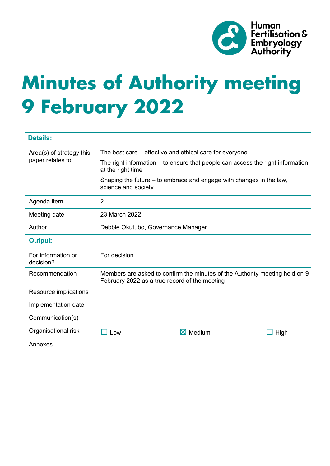

# **Minutes of Authority meeting 9 February 2022**

| <b>Details:</b>                               |                                                                                                                              |                    |      |
|-----------------------------------------------|------------------------------------------------------------------------------------------------------------------------------|--------------------|------|
| Area(s) of strategy this<br>paper relates to: | The best care – effective and ethical care for everyone                                                                      |                    |      |
|                                               | The right information – to ensure that people can access the right information<br>at the right time                          |                    |      |
|                                               | Shaping the future – to embrace and engage with changes in the law,<br>science and society                                   |                    |      |
| Agenda item                                   | 2                                                                                                                            |                    |      |
| Meeting date                                  | 23 March 2022                                                                                                                |                    |      |
| Author                                        | Debbie Okutubo, Governance Manager                                                                                           |                    |      |
| <b>Output:</b>                                |                                                                                                                              |                    |      |
| For information or<br>decision?               | For decision                                                                                                                 |                    |      |
| Recommendation                                | Members are asked to confirm the minutes of the Authority meeting held on 9<br>February 2022 as a true record of the meeting |                    |      |
| Resource implications                         |                                                                                                                              |                    |      |
| Implementation date                           |                                                                                                                              |                    |      |
| Communication(s)                              |                                                                                                                              |                    |      |
| Organisational risk                           | Low                                                                                                                          | $\boxtimes$ Medium | High |
| Annexes                                       |                                                                                                                              |                    |      |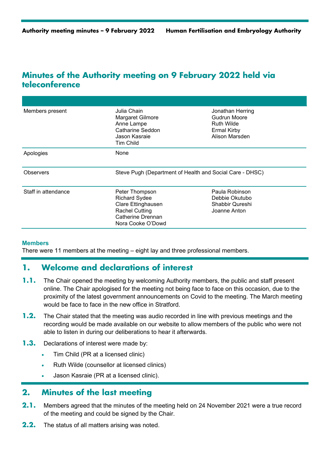# **Minutes of the Authority meeting on 9 February 2022 held via teleconference**

| Members present     | Julia Chain.<br>Margaret Gilmore<br>Anne Lampe<br>Catharine Seddon<br>Jason Kasraie<br>Tim Child                                | Jonathan Herring<br>Gudrun Moore<br>Ruth Wilde<br><b>Ermal Kirby</b><br>Alison Marsden |  |
|---------------------|---------------------------------------------------------------------------------------------------------------------------------|----------------------------------------------------------------------------------------|--|
| Apologies           | None                                                                                                                            |                                                                                        |  |
| Observers           | Steve Pugh (Department of Health and Social Care - DHSC)                                                                        |                                                                                        |  |
| Staff in attendance | Peter Thompson<br><b>Richard Sydee</b><br>Clare Ettinghausen<br><b>Rachel Cutting</b><br>Catherine Drennan<br>Nora Cooke O'Dowd | Paula Robinson<br>Debbie Okutubo<br>Shabbir Qureshi<br>Joanne Anton                    |  |

## **Members**

There were 11 members at the meeting – eight lay and three professional members.

# **1. Welcome and declarations of interest**

- **1.1.** The Chair opened the meeting by welcoming Authority members, the public and staff present online. The Chair apologised for the meeting not being face to face on this occasion, due to the proximity of the latest government announcements on Covid to the meeting. The March meeting would be face to face in the new office in Stratford.
- **1.2.** The Chair stated that the meeting was audio recorded in line with previous meetings and the recording would be made available on our website to allow members of the public who were not able to listen in during our deliberations to hear it afterwards.
- **1.3.** Declarations of interest were made by:
	- Tim Child (PR at a licensed clinic)
	- Ruth Wilde (counsellor at licensed clinics)
	- Jason Kasraie (PR at a licensed clinic).

# **2. Minutes of the last meeting**

- **2.1.** Members agreed that the minutes of the meeting held on 24 November 2021 were a true record of the meeting and could be signed by the Chair.
- **2.2.** The status of all matters arising was noted.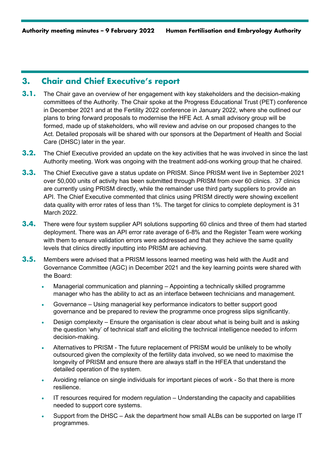# **3. Chair and Chief Executive's report**

- **3.1.** The Chair gave an overview of her engagement with key stakeholders and the decision-making committees of the Authority. The Chair spoke at the Progress Educational Trust (PET) conference in December 2021 and at the Fertility 2022 conference in January 2022, where she outlined our plans to bring forward proposals to modernise the HFE Act. A small advisory group will be formed, made up of stakeholders, who will review and advise on our proposed changes to the Act. Detailed proposals will be shared with our sponsors at the Department of Health and Social Care (DHSC) later in the year.
- **3.2.** The Chief Executive provided an update on the key activities that he was involved in since the last Authority meeting. Work was ongoing with the treatment add-ons working group that he chaired.
- **3.3.** The Chief Executive gave a status update on PRISM. Since PRISM went live in September 2021 over 50,000 units of activity has been submitted through PRISM from over 60 clinics. 37 clinics are currently using PRISM directly, while the remainder use third party suppliers to provide an API. The Chief Executive commented that clinics using PRISM directly were showing excellent data quality with error rates of less than 1%. The target for clinics to complete deployment is 31 March 2022.
- **3.4.** There were four system supplier API solutions supporting 60 clinics and three of them had started deployment. There was an API error rate average of 6-8% and the Register Team were working with them to ensure validation errors were addressed and that they achieve the same quality levels that clinics directly inputting into PRISM are achieving.
- **3.5.** Members were advised that a PRISM lessons learned meeting was held with the Audit and Governance Committee (AGC) in December 2021 and the key learning points were shared with the Board:
	- Managerial communication and planning Appointing a technically skilled programme manager who has the ability to act as an interface between technicians and management.
	- Governance Using managerial key performance indicators to better support good governance and be prepared to review the programme once progress slips significantly.
	- Design complexity Ensure the organisation is clear about what is being built and is asking the question 'why' of technical staff and eliciting the technical intelligence needed to inform decision-making.
	- Alternatives to PRISM The future replacement of PRISM would be unlikely to be wholly outsourced given the complexity of the fertility data involved, so we need to maximise the longevity of PRISM and ensure there are always staff in the HFEA that understand the detailed operation of the system.
	- Avoiding reliance on single individuals for important pieces of work So that there is more resilience.
	- IT resources required for modern regulation Understanding the capacity and capabilities needed to support core systems.
	- Support from the DHSC Ask the department how small ALBs can be supported on large IT programmes.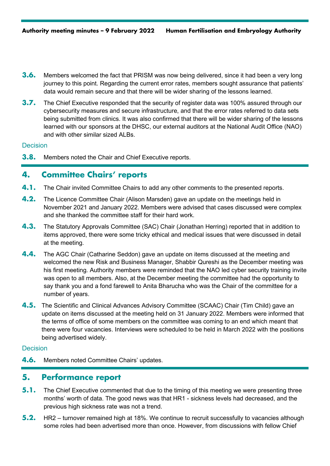- **3.6.** Members welcomed the fact that PRISM was now being delivered, since it had been a very long journey to this point. Regarding the current error rates, members sought assurance that patients' data would remain secure and that there will be wider sharing of the lessons learned.
- **3.7.** The Chief Executive responded that the security of register data was 100% assured through our cybersecurity measures and secure infrastructure, and that the error rates referred to data sets being submitted from clinics. It was also confirmed that there will be wider sharing of the lessons learned with our sponsors at the DHSC, our external auditors at the National Audit Office (NAO) and with other similar sized ALBs.

#### **Decision**

**3.8.** Members noted the Chair and Chief Executive reports.

## **4. Committee Chairs' reports**

- **4.1.** The Chair invited Committee Chairs to add any other comments to the presented reports.
- **4.2.** The Licence Committee Chair (Alison Marsden) gave an update on the meetings held in November 2021 and January 2022. Members were advised that cases discussed were complex and she thanked the committee staff for their hard work.
- **4.3.** The Statutory Approvals Committee (SAC) Chair (Jonathan Herring) reported that in addition to items approved, there were some tricky ethical and medical issues that were discussed in detail at the meeting.
- **4.4.** The AGC Chair (Catharine Seddon) gave an update on items discussed at the meeting and welcomed the new Risk and Business Manager, Shabbir Qureshi as the December meeting was his first meeting. Authority members were reminded that the NAO led cyber security training invite was open to all members. Also, at the December meeting the committee had the opportunity to say thank you and a fond farewell to Anita Bharucha who was the Chair of the committee for a number of years.
- **4.5.** The Scientific and Clinical Advances Advisory Committee (SCAAC) Chair (Tim Child) gave an update on items discussed at the meeting held on 31 January 2022. Members were informed that the terms of office of some members on the committee was coming to an end which meant that there were four vacancies. Interviews were scheduled to be held in March 2022 with the positions being advertised widely.

### Decision

**4.6.** Members noted Committee Chairs' updates.

# **5. Performance report**

- **5.1.** The Chief Executive commented that due to the timing of this meeting we were presenting three months' worth of data. The good news was that HR1 - sickness levels had decreased, and the previous high sickness rate was not a trend.
- **5.2.** HR2 turnover remained high at 18%. We continue to recruit successfully to vacancies although some roles had been advertised more than once. However, from discussions with fellow Chief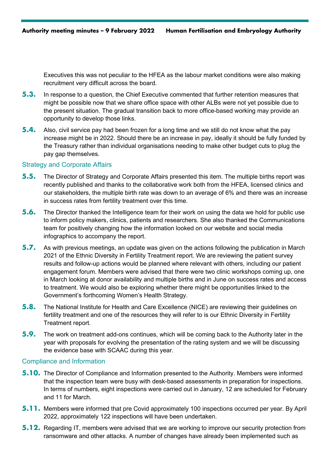Executives this was not peculiar to the HFEA as the labour market conditions were also making recruitment very difficult across the board.

- **5.3.** In response to a question, the Chief Executive commented that further retention measures that might be possible now that we share office space with other ALBs were not yet possible due to the present situation. The gradual transition back to more office-based working may provide an opportunity to develop those links.
- **5.4.** Also, civil service pay had been frozen for a long time and we still do not know what the pay increase might be in 2022. Should there be an increase in pay, ideally it should be fully funded by the Treasury rather than individual organisations needing to make other budget cuts to plug the pay gap themselves.

#### Strategy and Corporate Affairs

- **5.5.** The Director of Strategy and Corporate Affairs presented this item. The multiple births report was recently published and thanks to the collaborative work both from the HFEA, licensed clinics and our stakeholders, the multiple birth rate was down to an average of 6% and there was an increase in success rates from fertility treatment over this time.
- **5.6.** The Director thanked the Intelligence team for their work on using the data we hold for public use to inform policy makers, clinics, patients and researchers. She also thanked the Communications team for positively changing how the information looked on our website and social media infographics to accompany the report.
- **5.7.** As with previous meetings, an update was given on the actions following the publication in March 2021 of the Ethnic Diversity in Fertility Treatment report. We are reviewing the patient survey results and follow-up actions would be planned where relevant with others, including our patient engagement forum. Members were advised that there were two clinic workshops coming up, one in March looking at donor availability and multiple births and in June on success rates and access to treatment. We would also be exploring whether there might be opportunities linked to the Government's forthcoming Women's Health Strategy.
- **5.8.** The National Institute for Health and Care Excellence (NICE) are reviewing their guidelines on fertility treatment and one of the resources they will refer to is our Ethnic Diversity in Fertility Treatment report.
- **5.9.** The work on treatment add-ons continues, which will be coming back to the Authority later in the year with proposals for evolving the presentation of the rating system and we will be discussing the evidence base with SCAAC during this year.

#### Compliance and Information

- **5.10.** The Director of Compliance and Information presented to the Authority. Members were informed that the inspection team were busy with desk-based assessments in preparation for inspections. In terms of numbers, eight inspections were carried out in January, 12 are scheduled for February and 11 for March.
- **5.11.** Members were informed that pre Covid approximately 100 inspections occurred per year. By April 2022, approximately 122 inspections will have been undertaken.
- **5.12.** Regarding IT, members were advised that we are working to improve our security protection from ransomware and other attacks. A number of changes have already been implemented such as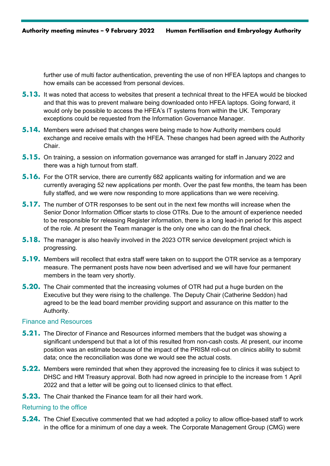further use of multi factor authentication, preventing the use of non HFEA laptops and changes to how emails can be accessed from personal devices.

- **5.13.** It was noted that access to websites that present a technical threat to the HFEA would be blocked and that this was to prevent malware being downloaded onto HFEA laptops. Going forward, it would only be possible to access the HFEA's IT systems from within the UK. Temporary exceptions could be requested from the Information Governance Manager.
- **5.14.** Members were advised that changes were being made to how Authority members could exchange and receive emails with the HFEA. These changes had been agreed with the Authority Chair.
- **5.15.** On training, a session on information governance was arranged for staff in January 2022 and there was a high turnout from staff.
- **5.16.** For the OTR service, there are currently 682 applicants waiting for information and we are currently averaging 52 new applications per month. Over the past few months, the team has been fully staffed, and we were now responding to more applications than we were receiving.
- **5.17.** The number of OTR responses to be sent out in the next few months will increase when the Senior Donor Information Officer starts to close OTRs. Due to the amount of experience needed to be responsible for releasing Register information, there is a long lead-in period for this aspect of the role. At present the Team manager is the only one who can do the final check.
- **5.18.** The manager is also heavily involved in the 2023 OTR service development project which is progressing.
- **5.19.** Members will recollect that extra staff were taken on to support the OTR service as a temporary measure. The permanent posts have now been advertised and we will have four permanent members in the team very shortly.
- **5.20.** The Chair commented that the increasing volumes of OTR had put a huge burden on the Executive but they were rising to the challenge. The Deputy Chair (Catherine Seddon) had agreed to be the lead board member providing support and assurance on this matter to the Authority.

### Finance and Resources

- **5.21.** The Director of Finance and Resources informed members that the budget was showing a significant underspend but that a lot of this resulted from non-cash costs. At present, our income position was an estimate because of the impact of the PRISM roll-out on clinics ability to submit data; once the reconciliation was done we would see the actual costs.
- **5.22.** Members were reminded that when they approved the increasing fee to clinics it was subject to DHSC and HM Treasury approval. Both had now agreed in principle to the increase from 1 April 2022 and that a letter will be going out to licensed clinics to that effect.
- **5.23.** The Chair thanked the Finance team for all their hard work.

#### Returning to the office

**5.24.** The Chief Executive commented that we had adopted a policy to allow office-based staff to work in the office for a minimum of one day a week. The Corporate Management Group (CMG) were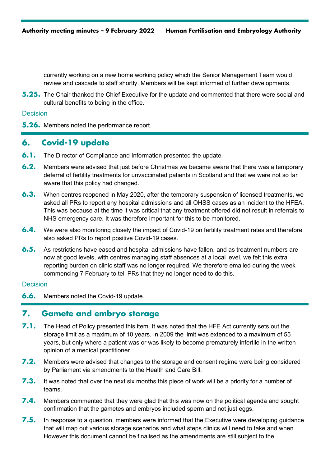currently working on a new home working policy which the Senior Management Team would review and cascade to staff shortly. Members will be kept informed of further developments.

**5.25.** The Chair thanked the Chief Executive for the update and commented that there were social and cultural benefits to being in the office.

## **Decision**

**5.26.** Members noted the performance report.

# **6. Covid-19 update**

- **6.1.** The Director of Compliance and Information presented the update.
- **6.2.** Members were advised that just before Christmas we became aware that there was a temporary deferral of fertility treatments for unvaccinated patients in Scotland and that we were not so far aware that this policy had changed.
- **6.3.** When centres reopened in May 2020, after the temporary suspension of licensed treatments, we asked all PRs to report any hospital admissions and all OHSS cases as an incident to the HFEA. This was because at the time it was critical that any treatment offered did not result in referrals to NHS emergency care. It was therefore important for this to be monitored.
- **6.4.** We were also monitoring closely the impact of Covid-19 on fertility treatment rates and therefore also asked PRs to report positive Covid-19 cases.
- **6.5.** As restrictions have eased and hospital admissions have fallen, and as treatment numbers are now at good levels, with centres managing staff absences at a local level, we felt this extra reporting burden on clinic staff was no longer required. We therefore emailed during the week commencing 7 February to tell PRs that they no longer need to do this.

## Decision

**6.6.** Members noted the Covid-19 update.

## **7. Gamete and embryo storage**

- **7.1.** The Head of Policy presented this item. It was noted that the HFE Act currently sets out the storage limit as a maximum of 10 years. In 2009 the limit was extended to a maximum of 55 years, but only where a patient was or was likely to become prematurely infertile in the written opinion of a medical practitioner.
- **7.2.** Members were advised that changes to the storage and consent regime were being considered by Parliament via amendments to the Health and Care Bill.
- **7.3.** It was noted that over the next six months this piece of work will be a priority for a number of teams.
- **7.4.** Members commented that they were glad that this was now on the political agenda and sought confirmation that the gametes and embryos included sperm and not just eggs.
- **7.5.** In response to a question, members were informed that the Executive were developing guidance that will map out various storage scenarios and what steps clinics will need to take and when. However this document cannot be finalised as the amendments are still subject to the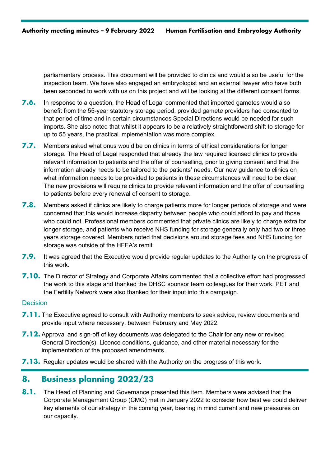parliamentary process. This document will be provided to clinics and would also be useful for the inspection team. We have also engaged an embryologist and an external lawyer who have both been seconded to work with us on this project and will be looking at the different consent forms.

- **7.6.** In response to a question, the Head of Legal commented that imported gametes would also benefit from the 55-year statutory storage period, provided gamete providers had consented to that period of time and in certain circumstances Special Directions would be needed for such imports. She also noted that whilst it appears to be a relatively straightforward shift to storage for up to 55 years, the practical implementation was more complex.
- **7.7.** Members asked what onus would be on clinics in terms of ethical considerations for longer storage. The Head of Legal responded that already the law required licensed clinics to provide relevant information to patients and the offer of counselling, prior to giving consent and that the information already needs to be tailored to the patients' needs. Our new guidance to clinics on what information needs to be provided to patients in these circumstances will need to be clear. The new provisions will require clinics to provide relevant information and the offer of counselling to patients before every renewal of consent to storage.
- **7.8.** Members asked if clinics are likely to charge patients more for longer periods of storage and were concerned that this would increase disparity between people who could afford to pay and those who could not. Professional members commented that private clinics are likely to charge extra for longer storage, and patients who receive NHS funding for storage generally only had two or three years storage covered. Members noted that decisions around storage fees and NHS funding for storage was outside of the HFEA's remit.
- **7.9.** It was agreed that the Executive would provide regular updates to the Authority on the progress of this work.
- **7.10.** The Director of Strategy and Corporate Affairs commented that a collective effort had progressed the work to this stage and thanked the DHSC sponsor team colleagues for their work. PET and the Fertility Network were also thanked for their input into this campaign.

#### **Decision**

- **7.11.** The Executive agreed to consult with Authority members to seek advice, review documents and provide input where necessary, between February and May 2022.
- **7.12.** Approval and sign-off of key documents was delegated to the Chair for any new or revised General Direction(s), Licence conditions, guidance, and other material necessary for the implementation of the proposed amendments.
- **7.13.** Regular updates would be shared with the Authority on the progress of this work.

# **8. Business planning 2022/23**

**8.1.** The Head of Planning and Governance presented this item. Members were advised that the Corporate Management Group (CMG) met in January 2022 to consider how best we could deliver key elements of our strategy in the coming year, bearing in mind current and new pressures on our capacity.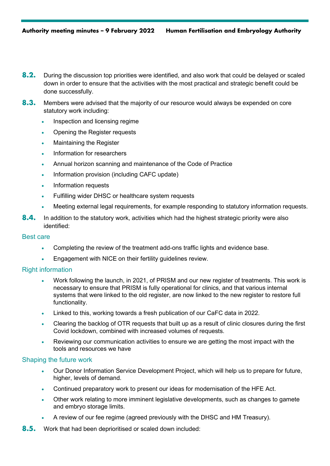- **8.2.** During the discussion top priorities were identified, and also work that could be delayed or scaled down in order to ensure that the activities with the most practical and strategic benefit could be done successfully.
- **8.3.** Members were advised that the majority of our resource would always be expended on core statutory work including:
	- Inspection and licensing regime
	- Opening the Register requests
	- Maintaining the Register
	- Information for researchers
	- Annual horizon scanning and maintenance of the Code of Practice
	- Information provision (including CAFC update)
	- Information requests
	- Fulfilling wider DHSC or healthcare system requests
	- Meeting external legal requirements, for example responding to statutory information requests.
- **8.4.** In addition to the statutory work, activities which had the highest strategic priority were also identified:

## Best care

- Completing the review of the treatment add-ons traffic lights and evidence base.
- Engagement with NICE on their fertility guidelines review.

## Right information

- Work following the launch, in 2021, of PRISM and our new register of treatments. This work is necessary to ensure that PRISM is fully operational for clinics, and that various internal systems that were linked to the old register, are now linked to the new register to restore full functionality.
- Linked to this, working towards a fresh publication of our CaFC data in 2022.
- Clearing the backlog of OTR requests that built up as a result of clinic closures during the first Covid lockdown, combined with increased volumes of requests.
- Reviewing our communication activities to ensure we are getting the most impact with the tools and resources we have

## Shaping the future work

- Our Donor Information Service Development Project, which will help us to prepare for future, higher, levels of demand.
- Continued preparatory work to present our ideas for modernisation of the HFE Act.
- Other work relating to more imminent legislative developments, such as changes to gamete and embryo storage limits.
- A review of our fee regime (agreed previously with the DHSC and HM Treasury).
- **8.5.** Work that had been deprioritised or scaled down included: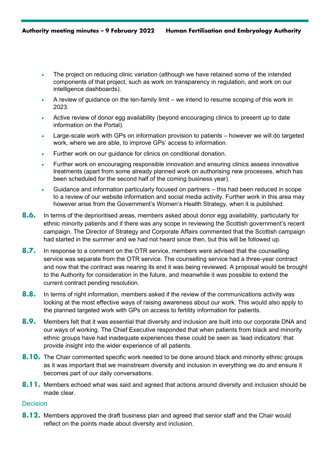- The project on reducing clinic variation (although we have retained some of the intended components of that project, such as work on transparency in regulation, and work on our intelligence dashboards).
- A review of guidance on the ten-family limit we intend to resume scoping of this work in 2023.
- Active review of donor egg availability (beyond encouraging clinics to present up to date information on the Portal).
- Large-scale work with GPs on information provision to patients however we will do targeted work, where we are able, to improve GPs' access to information.
- Further work on our guidance for clinics on conditional donation.
- Further work on encouraging responsible innovation and ensuring clinics assess innovative treatments (apart from some already planned work on authorising new processes, which has been scheduled for the second half of the coming business year).
- Guidance and information particularly focused on partners this had been reduced in scope to a review of our website information and social media activity. Further work in this area may however arise from the Government's Women's Health Strategy, when it is published.
- **8.6.** In terms of the deprioritised areas, members asked about donor egg availability, particularly for ethnic minority patients and if there was any scope in reviewing the Scottish government's recent campaign. The Director of Strategy and Corporate Affairs commented that the Scottish campaign had started in the summer and we had not heard since then, but this will be followed up.
- **8.7.** In response to a comment on the OTR service, members were advised that the counselling service was separate from the OTR service. The counselling service had a three-year contract and now that the contract was nearing its end it was being reviewed. A proposal would be brought to the Authority for consideration in the future, and meanwhile it was possible to extend the current contract pending resolution.
- **8.8.** In terms of right information, members asked if the review of the communications activity was looking at the most effective ways of raising awareness about our work. This would also apply to the planned targeted work with GPs on access to fertility information for patients.
- **8.9.** Members felt that it was essential that diversity and inclusion are built into our corporate DNA and our ways of working. The Chief Executive responded that when patients from black and minority ethnic groups have had inadequate experiences these could be seen as 'lead indicators' that provide insight into the wider experience of all patients.
- **8.10.** The Chair commented specific work needed to be done around black and minority ethnic groups as it was important that we mainstream diversity and inclusion in everything we do and ensure it becomes part of our daily conversations.
- **8.11.** Members echoed what was said and agreed that actions around diversity and inclusion should be made clear.

## **Decision**

**8.12.** Members approved the draft business plan and agreed that senior staff and the Chair would reflect on the points made about diversity and inclusion.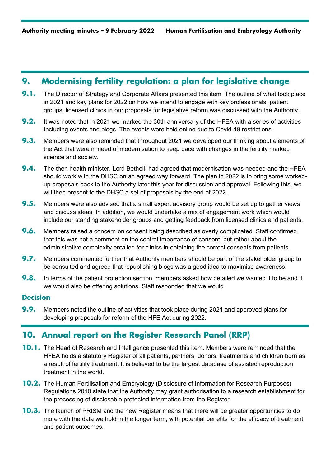# **9. Modernising fertility regulation: a plan for legislative change**

- **9.1.** The Director of Strategy and Corporate Affairs presented this item. The outline of what took place in 2021 and key plans for 2022 on how we intend to engage with key professionals, patient groups, licensed clinics in our proposals for legislative reform was discussed with the Authority.
- **9.2.** It was noted that in 2021 we marked the 30th anniversary of the HFEA with a series of activities Including events and blogs. The events were held online due to Covid-19 restrictions.
- **9.3.** Members were also reminded that throughout 2021 we developed our thinking about elements of the Act that were in need of modernisation to keep pace with changes in the fertility market, science and society.
- **9.4.** The then health minister, Lord Bethell, had agreed that modernisation was needed and the HFEA should work with the DHSC on an agreed way forward. The plan in 2022 is to bring some workedup proposals back to the Authority later this year for discussion and approval. Following this, we will then present to the DHSC a set of proposals by the end of 2022.
- **9.5.** Members were also advised that a small expert advisory group would be set up to gather views and discuss ideas. In addition, we would undertake a mix of engagement work which would include our standing stakeholder groups and getting feedback from licensed clinics and patients.
- **9.6.** Members raised a concern on consent being described as overly complicated. Staff confirmed that this was not a comment on the central importance of consent, but rather about the administrative complexity entailed for clinics in obtaining the correct consents from patients.
- **9.7.** Members commented further that Authority members should be part of the stakeholder group to be consulted and agreed that republishing blogs was a good idea to maximise awareness.
- **9.8.** In terms of the patient protection section, members asked how detailed we wanted it to be and if we would also be offering solutions. Staff responded that we would.

## **Decision**

**9.9.** Members noted the outline of activities that took place during 2021 and approved plans for developing proposals for reform of the HFE Act during 2022.

# **10. Annual report on the Register Research Panel (RRP)**

- **10.1.** The Head of Research and Intelligence presented this item. Members were reminded that the HFEA holds a statutory Register of all patients, partners, donors, treatments and children born as a result of fertility treatment. It is believed to be the largest database of assisted reproduction treatment in the world.
- **10.2.** The Human Fertilisation and Embryology (Disclosure of Information for Research Purposes) Regulations 2010 state that the Authority may grant authorisation to a research establishment for the processing of disclosable protected information from the Register.
- **10.3.** The launch of PRISM and the new Register means that there will be greater opportunities to do more with the data we hold in the longer term, with potential benefits for the efficacy of treatment and patient outcomes.